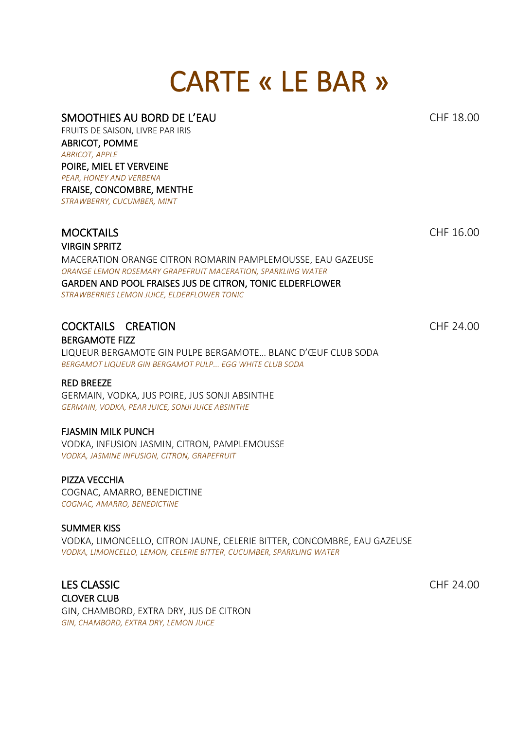# CARTE « LE BAR »

#### SMOOTHIES AU BORD DE L'EAU CHE 18.00

FRUITS DE SAISON, LIVRE PAR IRIS ABRICOT, POMME *ABRICOT, APPLE* POIRE, MIEL ET VERVEINE *PEAR, HONEY AND VERBENA* FRAISE, CONCOMBRE, MENTHE *STRAWBERRY, CUCUMBER, MINT*

#### MOCKTAILS CHE 16.00 VIRGIN SPRITZ

MACERATION ORANGE CITRON ROMARIN PAMPLEMOUSSE, EAU GAZEUSE *ORANGE LEMON ROSEMARY GRAPEFRUIT MACERATION, SPARKLING WATER* GARDEN AND POOL FRAISES JUS DE CITRON, TONIC ELDERFLOWER *STRAWBERRIES LEMON JUICE, ELDERFLOWER TONIC*

### COCKTAILS CREATION CHF 24.00

BERGAMOTE FIZZ LIQUEUR BERGAMOTE GIN PULPE BERGAMOTE… BLANC D'ŒUF CLUB SODA *BERGAMOT LIQUEUR GIN BERGAMOT PULP... EGG WHITE CLUB SODA*

#### RED BREEZE

GERMAIN, VODKA, JUS POIRE, JUS SONJI ABSINTHE *GERMAIN, VODKA, PEAR JUICE, SONJI JUICE ABSINTHE* 

#### FJASMIN MILK PUNCH

VODKA, INFUSION JASMIN, CITRON, PAMPLEMOUSSE *VODKA, JASMINE INFUSION, CITRON, GRAPEFRUIT*

#### PIZZA VECCHIA

COGNAC, AMARRO, BENEDICTINE *COGNAC, AMARRO, BENEDICTINE* 

#### SUMMER KISS

VODKA, LIMONCELLO, CITRON JAUNE, CELERIE BITTER, CONCOMBRE, EAU GAZEUSE *VODKA, LIMONCELLO, LEMON, CELERIE BITTER, CUCUMBER, SPARKLING WATER*

LES CLASSIC CHF 24.00 CLOVER CLUB GIN, CHAMBORD, EXTRA DRY, JUS DE CITRON *GIN, CHAMBORD, EXTRA DRY, LEMON JUICE*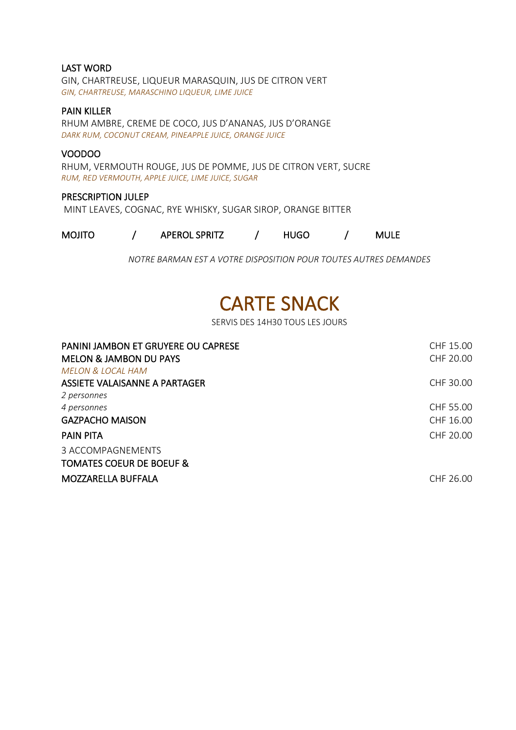#### LAST WORD

GIN, CHARTREUSE, LIQUEUR MARASQUIN, JUS DE CITRON VERT *GIN, CHARTREUSE, MARASCHINO LIQUEUR, LIME JUICE*

#### PAIN KILLER

RHUM AMBRE, CREME DE COCO, JUS D'ANANAS, JUS D'ORANGE *DARK RUM, COCONUT CREAM, PINEAPPLE JUICE, ORANGE JUICE*

#### VOODOO

RHUM, VERMOUTH ROUGE, JUS DE POMME, JUS DE CITRON VERT, SUCRE *RUM, RED VERMOUTH, APPLE JUICE, LIME JUICE, SUGAR*

#### PRESCRIPTION JULEP

MINT LEAVES, COGNAC, RYE WHISKY, SUGAR SIROP, ORANGE BITTER

| <b>MOJITO</b> | <b>APEROL SPRITZ</b> | HUGO | <b>MULE</b> |
|---------------|----------------------|------|-------------|
|               |                      |      |             |

*NOTRE BARMAN EST A VOTRE DISPOSITION POUR TOUTES AUTRES DEMANDES* 

## CARTE SNACK

SERVIS DES 14H30 TOUS LES JOURS

| PANINI JAMBON ET GRUYERE OU CAPRESE | CHF 15.00 |
|-------------------------------------|-----------|
| <b>MELON &amp; JAMBON DU PAYS</b>   | CHF 20.00 |
| <b>MELON &amp; LOCAL HAM</b>        |           |
| ASSIETE VALAISANNE A PARTAGER       | CHF 30.00 |
| 2 personnes                         |           |
| 4 personnes                         | CHF 55.00 |
| <b>GAZPACHO MAISON</b>              | CHF 16.00 |
| <b>PAIN PITA</b>                    | CHF 20.00 |
| 3 ACCOMPAGNEMENTS                   |           |
| <b>TOMATES COEUR DE BOEUF &amp;</b> |           |
| MOZZARELLA BUFFALA                  | CHF 26.00 |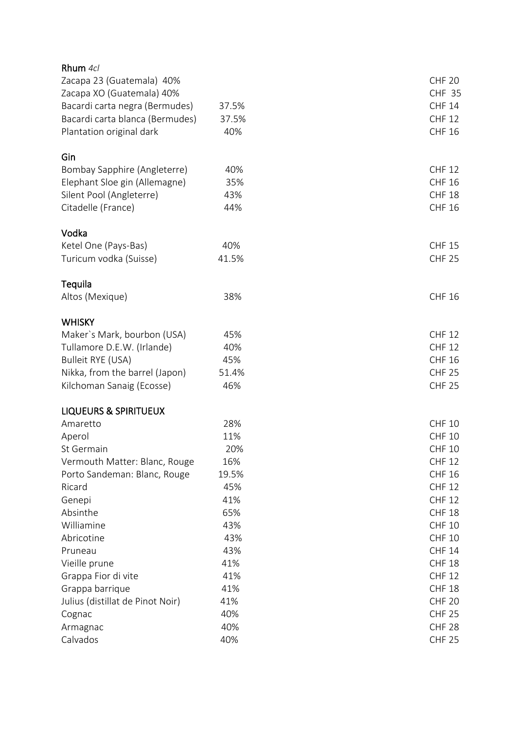| Rhum 4cl                         |       |               |
|----------------------------------|-------|---------------|
| Zacapa 23 (Guatemala) 40%        |       | <b>CHF 20</b> |
| Zacapa XO (Guatemala) 40%        |       | <b>CHF 35</b> |
| Bacardi carta negra (Bermudes)   | 37.5% | <b>CHF 14</b> |
| Bacardi carta blanca (Bermudes)  | 37.5% | <b>CHF 12</b> |
| Plantation original dark         | 40%   | <b>CHF 16</b> |
|                                  |       |               |
| Gin                              |       |               |
| Bombay Sapphire (Angleterre)     | 40%   | <b>CHF 12</b> |
| Elephant Sloe gin (Allemagne)    | 35%   | <b>CHF 16</b> |
| Silent Pool (Angleterre)         | 43%   | <b>CHF 18</b> |
| Citadelle (France)               | 44%   | <b>CHF 16</b> |
|                                  |       |               |
| Vodka                            |       |               |
| Ketel One (Pays-Bas)             | 40%   | <b>CHF 15</b> |
| Turicum vodka (Suisse)           | 41.5% | <b>CHF 25</b> |
|                                  |       |               |
| Tequila                          |       |               |
| Altos (Mexique)                  | 38%   | <b>CHF 16</b> |
|                                  |       |               |
| <b>WHISKY</b>                    |       |               |
| Maker's Mark, bourbon (USA)      | 45%   | <b>CHF 12</b> |
| Tullamore D.E.W. (Irlande)       | 40%   | <b>CHF 12</b> |
| <b>Bulleit RYE (USA)</b>         | 45%   | <b>CHF 16</b> |
| Nikka, from the barrel (Japon)   | 51.4% | <b>CHF 25</b> |
| Kilchoman Sanaig (Ecosse)        | 46%   | <b>CHF 25</b> |
|                                  |       |               |
| <b>LIQUEURS &amp; SPIRITUEUX</b> |       |               |
| Amaretto                         | 28%   | <b>CHF 10</b> |
| Aperol                           | 11%   | <b>CHF 10</b> |
| St Germain                       | 20%   | <b>CHF 10</b> |
| Vermouth Matter: Blanc, Rouge    | 16%   | <b>CHF 12</b> |
| Porto Sandeman: Blanc, Rouge     | 19.5% | <b>CHF 16</b> |
| Ricard                           | 45%   | <b>CHF 12</b> |
| Genepi                           | 41%   | <b>CHF 12</b> |
| Absinthe                         | 65%   | <b>CHF 18</b> |
| Williamine                       | 43%   | <b>CHF 10</b> |
| Abricotine                       | 43%   | <b>CHF 10</b> |
| Pruneau                          | 43%   | <b>CHF 14</b> |
| Vieille prune                    | 41%   | <b>CHF 18</b> |
| Grappa Fior di vite              | 41%   | <b>CHF 12</b> |
| Grappa barrique                  | 41%   | <b>CHF 18</b> |
| Julius (distillat de Pinot Noir) | 41%   | <b>CHF 20</b> |
| Cognac                           | 40%   | <b>CHF 25</b> |
| Armagnac                         | 40%   | <b>CHF 28</b> |
| Calvados                         | 40%   | <b>CHF 25</b> |
|                                  |       |               |